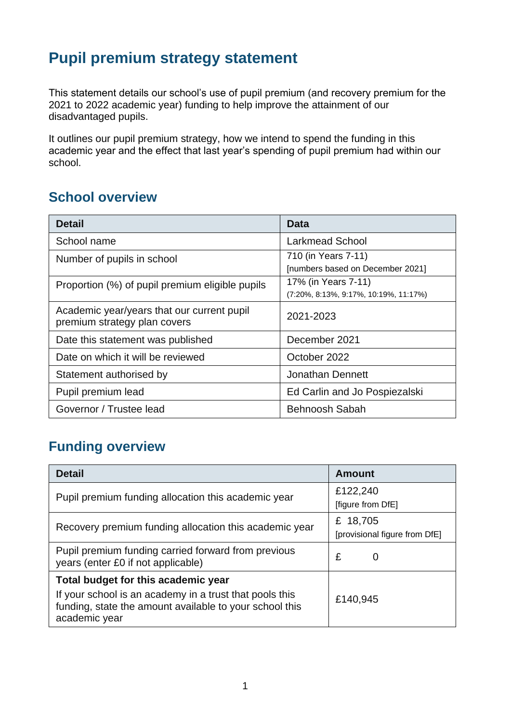## **Pupil premium strategy statement**

This statement details our school's use of pupil premium (and recovery premium for the 2021 to 2022 academic year) funding to help improve the attainment of our disadvantaged pupils.

It outlines our pupil premium strategy, how we intend to spend the funding in this academic year and the effect that last year's spending of pupil premium had within our school.

#### **School overview**

| <b>Detail</b>                                                              | Data                                         |  |
|----------------------------------------------------------------------------|----------------------------------------------|--|
| School name                                                                | <b>Larkmead School</b>                       |  |
| Number of pupils in school                                                 | 710 (in Years 7-11)                          |  |
|                                                                            | [numbers based on December 2021]             |  |
| Proportion (%) of pupil premium eligible pupils                            | 17% (in Years 7-11)                          |  |
|                                                                            | $(7:20\%, 8:13\%, 9:17\%, 10:19\%, 11:17\%)$ |  |
| Academic year/years that our current pupil<br>premium strategy plan covers | 2021-2023                                    |  |
| Date this statement was published                                          | December 2021                                |  |
| Date on which it will be reviewed                                          | October 2022                                 |  |
| Statement authorised by                                                    | <b>Jonathan Dennett</b>                      |  |
| Pupil premium lead                                                         | Ed Carlin and Jo Pospiezalski                |  |
| Governor / Trustee lead                                                    | Behnoosh Sabah                               |  |

### **Funding overview**

| <b>Detail</b>                                                                                                                                                              | <b>Amount</b>                             |
|----------------------------------------------------------------------------------------------------------------------------------------------------------------------------|-------------------------------------------|
| Pupil premium funding allocation this academic year                                                                                                                        | £122,240<br>[figure from DfE]             |
| Recovery premium funding allocation this academic year                                                                                                                     | £ 18,705<br>[provisional figure from DfE] |
| Pupil premium funding carried forward from previous<br>years (enter £0 if not applicable)                                                                                  | £<br>O                                    |
| Total budget for this academic year<br>If your school is an academy in a trust that pools this<br>funding, state the amount available to your school this<br>academic year | £140,945                                  |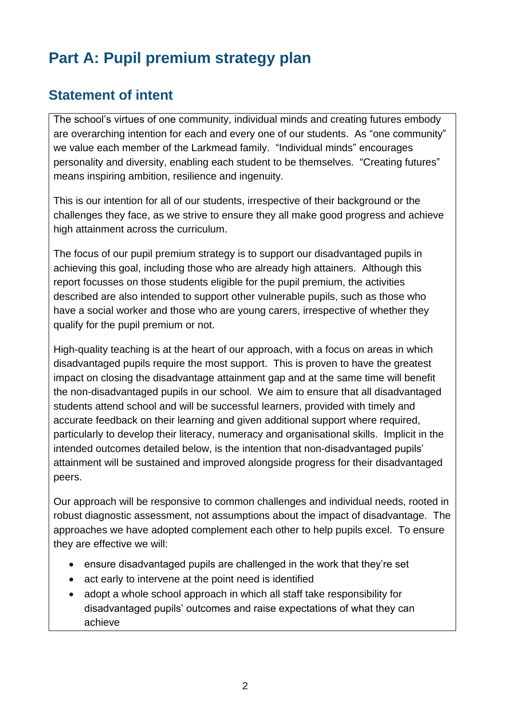# **Part A: Pupil premium strategy plan**

#### **Statement of intent**

The school's virtues of one community, individual minds and creating futures embody are overarching intention for each and every one of our students. As "one community" we value each member of the Larkmead family. "Individual minds" encourages personality and diversity, enabling each student to be themselves. "Creating futures" means inspiring ambition, resilience and ingenuity.

This is our intention for all of our students, irrespective of their background or the challenges they face, as we strive to ensure they all make good progress and achieve high attainment across the curriculum.

The focus of our pupil premium strategy is to support our disadvantaged pupils in achieving this goal, including those who are already high attainers. Although this report focusses on those students eligible for the pupil premium, the activities described are also intended to support other vulnerable pupils, such as those who have a social worker and those who are young carers, irrespective of whether they qualify for the pupil premium or not.

High-quality teaching is at the heart of our approach, with a focus on areas in which disadvantaged pupils require the most support. This is proven to have the greatest impact on closing the disadvantage attainment gap and at the same time will benefit the non-disadvantaged pupils in our school. We aim to ensure that all disadvantaged students attend school and will be successful learners, provided with timely and accurate feedback on their learning and given additional support where required, particularly to develop their literacy, numeracy and organisational skills. Implicit in the intended outcomes detailed below, is the intention that non-disadvantaged pupils' attainment will be sustained and improved alongside progress for their disadvantaged peers.

Our approach will be responsive to common challenges and individual needs, rooted in robust diagnostic assessment, not assumptions about the impact of disadvantage. The approaches we have adopted complement each other to help pupils excel. To ensure they are effective we will:

- ensure disadvantaged pupils are challenged in the work that they're set
- act early to intervene at the point need is identified
- adopt a whole school approach in which all staff take responsibility for disadvantaged pupils' outcomes and raise expectations of what they can achieve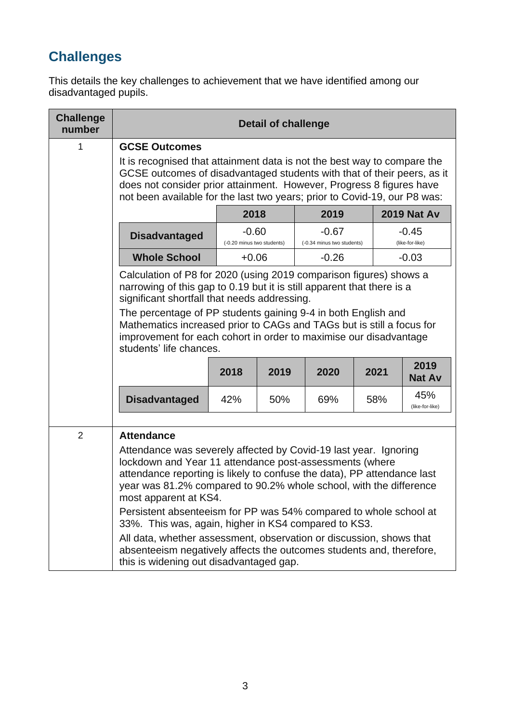# **Challenges**

This details the key challenges to achievement that we have identified among our disadvantaged pupils.

| <b>Challenge</b><br>number | <b>Detail of challenge</b>                                                                                                                                                                                                                                                                                                                                                                                                                                                                                                                                                                                                   |                                       |     |                                       |     |                            |
|----------------------------|------------------------------------------------------------------------------------------------------------------------------------------------------------------------------------------------------------------------------------------------------------------------------------------------------------------------------------------------------------------------------------------------------------------------------------------------------------------------------------------------------------------------------------------------------------------------------------------------------------------------------|---------------------------------------|-----|---------------------------------------|-----|----------------------------|
| 1                          | <b>GCSE Outcomes</b>                                                                                                                                                                                                                                                                                                                                                                                                                                                                                                                                                                                                         |                                       |     |                                       |     |                            |
|                            | It is recognised that attainment data is not the best way to compare the<br>GCSE outcomes of disadvantaged students with that of their peers, as it<br>does not consider prior attainment. However, Progress 8 figures have<br>not been available for the last two years; prior to Covid-19, our P8 was:                                                                                                                                                                                                                                                                                                                     |                                       |     |                                       |     |                            |
|                            | <b>2019 Nat Av</b><br>2018<br>2019                                                                                                                                                                                                                                                                                                                                                                                                                                                                                                                                                                                           |                                       |     |                                       |     |                            |
|                            | <b>Disadvantaged</b>                                                                                                                                                                                                                                                                                                                                                                                                                                                                                                                                                                                                         | $-0.60$<br>(-0.20 minus two students) |     | $-0.67$<br>(-0.34 minus two students) |     | $-0.45$<br>(like-for-like) |
|                            | <b>Whole School</b>                                                                                                                                                                                                                                                                                                                                                                                                                                                                                                                                                                                                          | $+0.06$                               |     | $-0.26$                               |     | $-0.03$                    |
|                            | Calculation of P8 for 2020 (using 2019 comparison figures) shows a<br>narrowing of this gap to 0.19 but it is still apparent that there is a<br>significant shortfall that needs addressing.<br>The percentage of PP students gaining 9-4 in both English and<br>Mathematics increased prior to CAGs and TAGs but is still a focus for                                                                                                                                                                                                                                                                                       |                                       |     |                                       |     |                            |
|                            | improvement for each cohort in order to maximise our disadvantage<br>students' life chances.                                                                                                                                                                                                                                                                                                                                                                                                                                                                                                                                 |                                       |     |                                       |     |                            |
|                            | 2019<br>2018<br>2019<br>2020<br>2021<br><b>Nat Av</b>                                                                                                                                                                                                                                                                                                                                                                                                                                                                                                                                                                        |                                       |     |                                       |     |                            |
|                            | <b>Disadvantaged</b>                                                                                                                                                                                                                                                                                                                                                                                                                                                                                                                                                                                                         | 42%                                   | 50% | 69%                                   | 58% | 45%<br>(like-for-like)     |
| $\overline{2}$             | <b>Attendance</b>                                                                                                                                                                                                                                                                                                                                                                                                                                                                                                                                                                                                            |                                       |     |                                       |     |                            |
|                            | Attendance was severely affected by Covid-19 last year. Ignoring<br>lockdown and Year 11 attendance post-assessments (where<br>attendance reporting is likely to confuse the data), PP attendance last<br>year was 81.2% compared to 90.2% whole school, with the difference<br>most apparent at KS4.<br>Persistent absenteeism for PP was 54% compared to whole school at<br>33%. This was, again, higher in KS4 compared to KS3.<br>All data, whether assessment, observation or discussion, shows that<br>absenteeism negatively affects the outcomes students and, therefore,<br>this is widening out disadvantaged gap. |                                       |     |                                       |     |                            |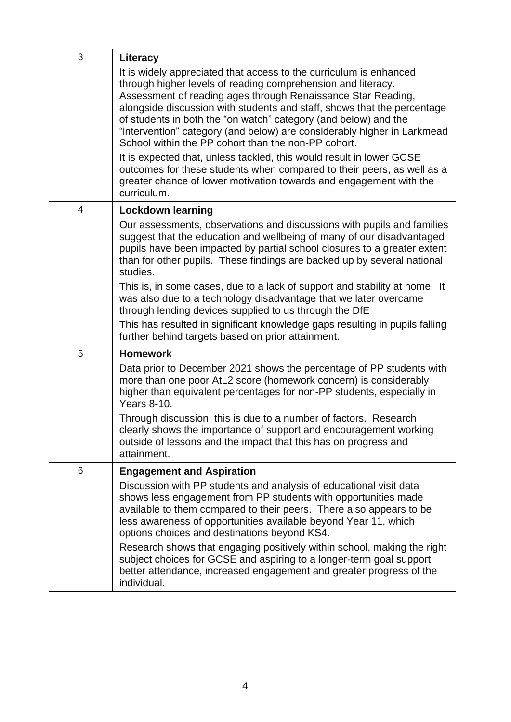| 3              | Literacy                                                                                                                                                                                                                                                                                                                                                                                                                                                                           |
|----------------|------------------------------------------------------------------------------------------------------------------------------------------------------------------------------------------------------------------------------------------------------------------------------------------------------------------------------------------------------------------------------------------------------------------------------------------------------------------------------------|
|                | It is widely appreciated that access to the curriculum is enhanced<br>through higher levels of reading comprehension and literacy.<br>Assessment of reading ages through Renaissance Star Reading,<br>alongside discussion with students and staff, shows that the percentage<br>of students in both the "on watch" category (and below) and the<br>"intervention" category (and below) are considerably higher in Larkmead<br>School within the PP cohort than the non-PP cohort. |
|                | It is expected that, unless tackled, this would result in lower GCSE<br>outcomes for these students when compared to their peers, as well as a<br>greater chance of lower motivation towards and engagement with the<br>curriculum.                                                                                                                                                                                                                                                |
| $\overline{4}$ | <b>Lockdown learning</b>                                                                                                                                                                                                                                                                                                                                                                                                                                                           |
|                | Our assessments, observations and discussions with pupils and families<br>suggest that the education and wellbeing of many of our disadvantaged<br>pupils have been impacted by partial school closures to a greater extent<br>than for other pupils. These findings are backed up by several national<br>studies.                                                                                                                                                                 |
|                | This is, in some cases, due to a lack of support and stability at home. It<br>was also due to a technology disadvantage that we later overcame<br>through lending devices supplied to us through the DfE                                                                                                                                                                                                                                                                           |
|                | This has resulted in significant knowledge gaps resulting in pupils falling<br>further behind targets based on prior attainment.                                                                                                                                                                                                                                                                                                                                                   |
| 5              | <b>Homework</b>                                                                                                                                                                                                                                                                                                                                                                                                                                                                    |
|                | Data prior to December 2021 shows the percentage of PP students with<br>more than one poor AtL2 score (homework concern) is considerably<br>higher than equivalent percentages for non-PP students, especially in<br>Years 8-10.                                                                                                                                                                                                                                                   |
|                | Through discussion, this is due to a number of factors. Research<br>clearly shows the importance of support and encouragement working<br>outside of lessons and the impact that this has on progress and<br>attainment.                                                                                                                                                                                                                                                            |
| 6              | <b>Engagement and Aspiration</b>                                                                                                                                                                                                                                                                                                                                                                                                                                                   |
|                | Discussion with PP students and analysis of educational visit data<br>shows less engagement from PP students with opportunities made<br>available to them compared to their peers. There also appears to be<br>less awareness of opportunities available beyond Year 11, which<br>options choices and destinations beyond KS4.                                                                                                                                                     |
|                | Research shows that engaging positively within school, making the right<br>subject choices for GCSE and aspiring to a longer-term goal support<br>better attendance, increased engagement and greater progress of the<br>individual.                                                                                                                                                                                                                                               |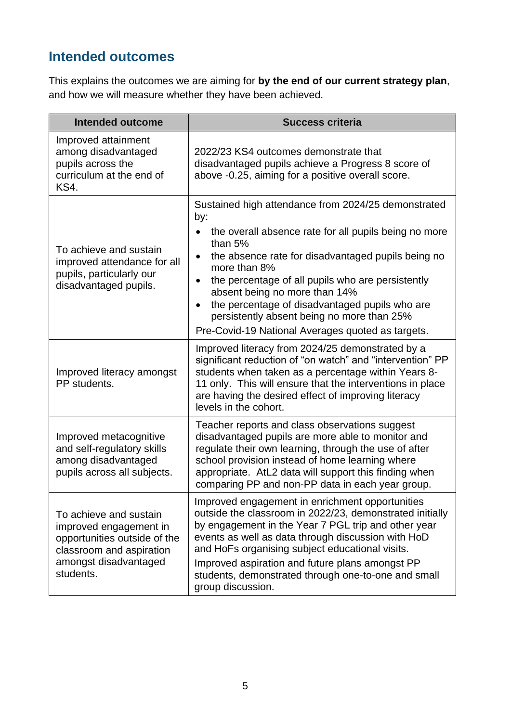## **Intended outcomes**

This explains the outcomes we are aiming for **by the end of our current strategy plan**, and how we will measure whether they have been achieved.

| <b>Intended outcome</b>                                                                                                                            | <b>Success criteria</b>                                                                                                                                                                                                                                                                                                                                                                                                                                                                  |
|----------------------------------------------------------------------------------------------------------------------------------------------------|------------------------------------------------------------------------------------------------------------------------------------------------------------------------------------------------------------------------------------------------------------------------------------------------------------------------------------------------------------------------------------------------------------------------------------------------------------------------------------------|
| Improved attainment<br>among disadvantaged<br>pupils across the<br>curriculum at the end of<br>KS4.                                                | 2022/23 KS4 outcomes demonstrate that<br>disadvantaged pupils achieve a Progress 8 score of<br>above -0.25, aiming for a positive overall score.                                                                                                                                                                                                                                                                                                                                         |
| To achieve and sustain<br>improved attendance for all<br>pupils, particularly our<br>disadvantaged pupils.                                         | Sustained high attendance from 2024/25 demonstrated<br>by:<br>the overall absence rate for all pupils being no more<br>than $5%$<br>the absence rate for disadvantaged pupils being no<br>$\bullet$<br>more than 8%<br>the percentage of all pupils who are persistently<br>$\bullet$<br>absent being no more than 14%<br>the percentage of disadvantaged pupils who are<br>$\bullet$<br>persistently absent being no more than 25%<br>Pre-Covid-19 National Averages quoted as targets. |
| Improved literacy amongst<br>PP students.                                                                                                          | Improved literacy from 2024/25 demonstrated by a<br>significant reduction of "on watch" and "intervention" PP<br>students when taken as a percentage within Years 8-<br>11 only. This will ensure that the interventions in place<br>are having the desired effect of improving literacy<br>levels in the cohort.                                                                                                                                                                        |
| Improved metacognitive<br>and self-regulatory skills<br>among disadvantaged<br>pupils across all subjects.                                         | Teacher reports and class observations suggest<br>disadvantaged pupils are more able to monitor and<br>regulate their own learning, through the use of after<br>school provision instead of home learning where<br>appropriate. AtL2 data will support this finding when<br>comparing PP and non-PP data in each year group.                                                                                                                                                             |
| To achieve and sustain<br>improved engagement in<br>opportunities outside of the<br>classroom and aspiration<br>amongst disadvantaged<br>students. | Improved engagement in enrichment opportunities<br>outside the classroom in 2022/23, demonstrated initially<br>by engagement in the Year 7 PGL trip and other year<br>events as well as data through discussion with HoD<br>and HoFs organising subject educational visits.<br>Improved aspiration and future plans amongst PP<br>students, demonstrated through one-to-one and small<br>group discussion.                                                                               |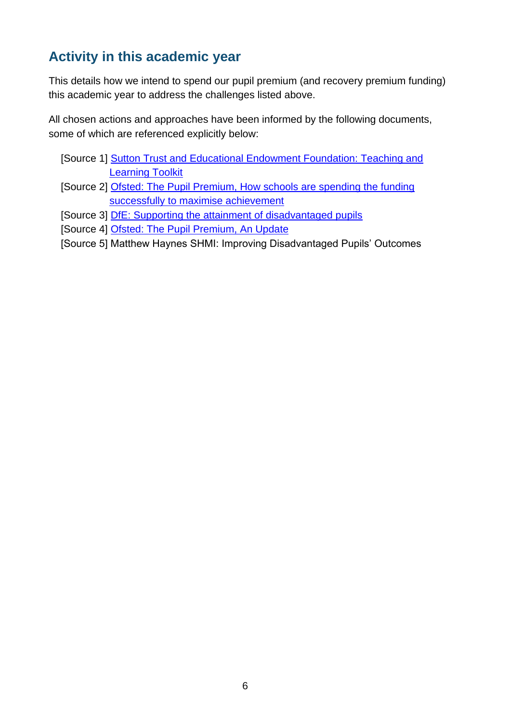## **Activity in this academic year**

This details how we intend to spend our pupil premium (and recovery premium funding) this academic year to address the challenges listed above.

All chosen actions and approaches have been informed by the following documents, some of which are referenced explicitly below:

- [Source 1] [Sutton Trust and Educational Endowment Foundation: Teaching and](https://educationendowmentfoundation.org.uk/education-evidence/teaching-learning-toolkit)  [Learning Toolkit](https://educationendowmentfoundation.org.uk/education-evidence/teaching-learning-toolkit)
- [Source 2] [Ofsted: The Pupil Premium, How schools are spending the funding](https://assets.publishing.service.gov.uk/government/uploads/system/uploads/attachment_data/file/413197/The_Pupil_Premium_-_How_schools_are_spending_the_funding.pdf)  [successfully to maximise achievement](https://assets.publishing.service.gov.uk/government/uploads/system/uploads/attachment_data/file/413197/The_Pupil_Premium_-_How_schools_are_spending_the_funding.pdf)
- [Source 3] **DfE:** Supporting the attainment of disadvantaged pupils
- [Source 4] [Ofsted: The Pupil Premium, An Update](https://assets.publishing.service.gov.uk/government/uploads/system/uploads/attachment_data/file/379205/The_20pupil_20premium_20-_20an_20update.pdf)
- [Source 5] Matthew Haynes SHMI: Improving Disadvantaged Pupils' Outcomes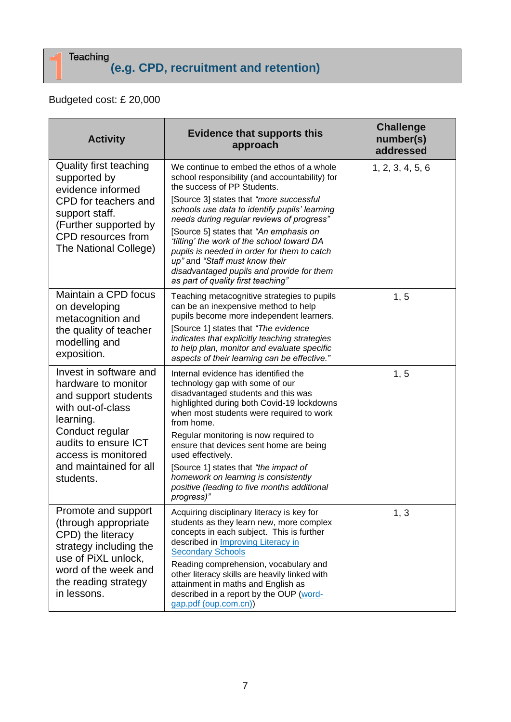# **(e.g. CPD, recruitment and retention)**

#### Budgeted cost: £ 20,000

| <b>Activity</b>                                                                                                                                                                                                  | <b>Evidence that supports this</b><br>approach                                                                                                                                                                                                                                                                                                                                                                                                                                                                                  | <b>Challenge</b><br>number(s)<br>addressed |
|------------------------------------------------------------------------------------------------------------------------------------------------------------------------------------------------------------------|---------------------------------------------------------------------------------------------------------------------------------------------------------------------------------------------------------------------------------------------------------------------------------------------------------------------------------------------------------------------------------------------------------------------------------------------------------------------------------------------------------------------------------|--------------------------------------------|
| <b>Quality first teaching</b><br>supported by<br>evidence informed<br>CPD for teachers and<br>support staff.<br>(Further supported by<br>CPD resources from<br>The National College)                             | We continue to embed the ethos of a whole<br>school responsibility (and accountability) for<br>the success of PP Students.<br>[Source 3] states that "more successful<br>schools use data to identify pupils' learning<br>needs during regular reviews of progress"<br>[Source 5] states that "An emphasis on<br>'tilting' the work of the school toward DA<br>pupils is needed in order for them to catch<br>up" and "Staff must know their<br>disadvantaged pupils and provide for them<br>as part of quality first teaching" | 1, 2, 3, 4, 5, 6                           |
| Maintain a CPD focus<br>on developing<br>metacognition and<br>the quality of teacher<br>modelling and<br>exposition.                                                                                             | Teaching metacognitive strategies to pupils<br>can be an inexpensive method to help<br>pupils become more independent learners.<br>[Source 1] states that "The evidence<br>indicates that explicitly teaching strategies<br>to help plan, monitor and evaluate specific<br>aspects of their learning can be effective."                                                                                                                                                                                                         | 1, 5                                       |
| Invest in software and<br>hardware to monitor<br>and support students<br>with out-of-class<br>learning.<br>Conduct regular<br>audits to ensure ICT<br>access is monitored<br>and maintained for all<br>students. | Internal evidence has identified the<br>technology gap with some of our<br>disadvantaged students and this was<br>highlighted during both Covid-19 lockdowns<br>when most students were required to work<br>from home.<br>Regular monitoring is now required to<br>ensure that devices sent home are being<br>used effectively.<br>[Source 1] states that "the impact of<br>homework on learning is consistently<br>positive (leading to five months additional<br>progress)"                                                   | 1, 5                                       |
| Promote and support<br>(through appropriate)<br>CPD) the literacy<br>strategy including the<br>use of PiXL unlock,<br>word of the week and<br>the reading strategy<br>in lessons.                                | Acquiring disciplinary literacy is key for<br>students as they learn new, more complex<br>concepts in each subject. This is further<br>described in Improving Literacy in<br><b>Secondary Schools</b><br>Reading comprehension, vocabulary and<br>other literacy skills are heavily linked with<br>attainment in maths and English as<br>described in a report by the OUP (word-<br>gap.pdf (oup.com.cn))                                                                                                                       | 1, 3                                       |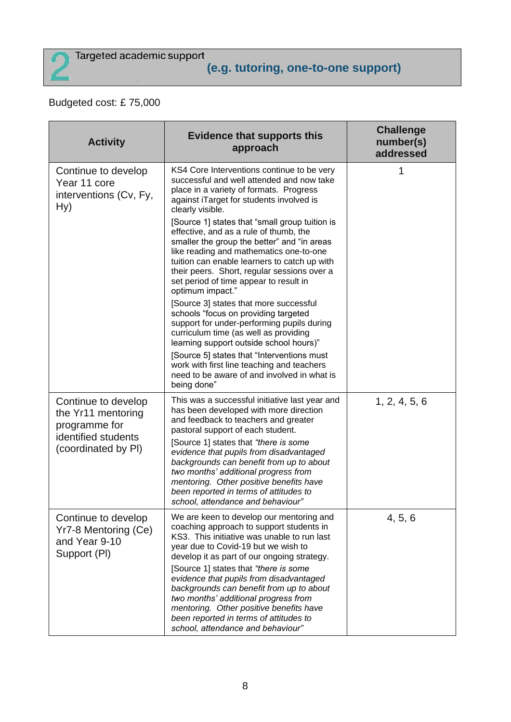

#### Budgeted cost: £ 75,000

| <b>Activity</b>                                                                                          | <b>Evidence that supports this</b><br>approach                                                                                                                                                                                                                                                                                                                                                                                                                                                                                                        | <b>Challenge</b><br>number(s)<br>addressed |
|----------------------------------------------------------------------------------------------------------|-------------------------------------------------------------------------------------------------------------------------------------------------------------------------------------------------------------------------------------------------------------------------------------------------------------------------------------------------------------------------------------------------------------------------------------------------------------------------------------------------------------------------------------------------------|--------------------------------------------|
| Continue to develop<br>Year 11 core<br>interventions (Cv, Fy,<br>Hy)                                     | KS4 Core Interventions continue to be very<br>successful and well attended and now take<br>place in a variety of formats. Progress<br>against iTarget for students involved is<br>clearly visible.<br>[Source 1] states that "small group tuition is<br>effective, and as a rule of thumb, the<br>smaller the group the better" and "in areas<br>like reading and mathematics one-to-one<br>tuition can enable learners to catch up with<br>their peers. Short, regular sessions over a<br>set period of time appear to result in<br>optimum impact." | 1                                          |
|                                                                                                          | [Source 3] states that more successful<br>schools "focus on providing targeted<br>support for under-performing pupils during<br>curriculum time (as well as providing<br>learning support outside school hours)"                                                                                                                                                                                                                                                                                                                                      |                                            |
|                                                                                                          | [Source 5] states that "Interventions must<br>work with first line teaching and teachers<br>need to be aware of and involved in what is<br>being done"                                                                                                                                                                                                                                                                                                                                                                                                |                                            |
| Continue to develop<br>the Yr11 mentoring<br>programme for<br>identified students<br>(coordinated by PI) | This was a successful initiative last year and<br>has been developed with more direction<br>and feedback to teachers and greater<br>pastoral support of each student.<br>[Source 1] states that "there is some<br>evidence that pupils from disadvantaged<br>backgrounds can benefit from up to about<br>two months' additional progress from<br>mentoring. Other positive benefits have<br>been reported in terms of attitudes to<br>school, attendance and behaviour"                                                                               | 1, 2, 4, 5, 6                              |
| Continue to develop<br>Yr7-8 Mentoring (Ce)<br>and Year 9-10<br>Support (PI)                             | We are keen to develop our mentoring and<br>coaching approach to support students in<br>KS3. This initiative was unable to run last<br>year due to Covid-19 but we wish to<br>develop it as part of our ongoing strategy.<br>[Source 1] states that "there is some<br>evidence that pupils from disadvantaged<br>backgrounds can benefit from up to about<br>two months' additional progress from<br>mentoring. Other positive benefits have<br>been reported in terms of attitudes to<br>school, attendance and behaviour"                           | 4, 5, 6                                    |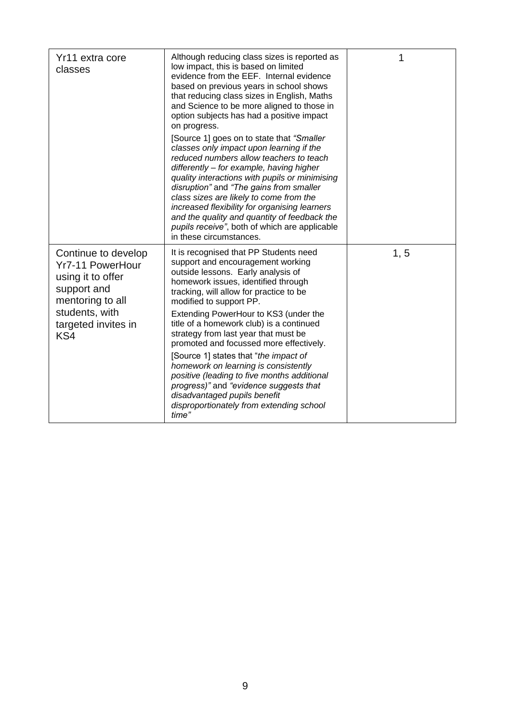| Yr11 extra core<br>classes                                                                                                                             | Although reducing class sizes is reported as<br>low impact, this is based on limited<br>evidence from the EEF. Internal evidence<br>based on previous years in school shows<br>that reducing class sizes in English, Maths<br>and Science to be more aligned to those in<br>option subjects has had a positive impact<br>on progress.<br>[Source 1] goes on to state that "Smaller<br>classes only impact upon learning if the<br>reduced numbers allow teachers to teach<br>differently - for example, having higher<br>quality interactions with pupils or minimising<br>disruption" and "The gains from smaller<br>class sizes are likely to come from the<br>increased flexibility for organising learners<br>and the quality and quantity of feedback the<br>pupils receive", both of which are applicable<br>in these circumstances. | 1    |
|--------------------------------------------------------------------------------------------------------------------------------------------------------|--------------------------------------------------------------------------------------------------------------------------------------------------------------------------------------------------------------------------------------------------------------------------------------------------------------------------------------------------------------------------------------------------------------------------------------------------------------------------------------------------------------------------------------------------------------------------------------------------------------------------------------------------------------------------------------------------------------------------------------------------------------------------------------------------------------------------------------------|------|
| Continue to develop<br><b>Yr7-11 PowerHour</b><br>using it to offer<br>support and<br>mentoring to all<br>students, with<br>targeted invites in<br>KS4 | It is recognised that PP Students need<br>support and encouragement working<br>outside lessons. Early analysis of<br>homework issues, identified through<br>tracking, will allow for practice to be<br>modified to support PP.<br>Extending PowerHour to KS3 (under the<br>title of a homework club) is a continued<br>strategy from last year that must be<br>promoted and focussed more effectively.<br>[Source 1] states that "the impact of<br>homework on learning is consistently<br>positive (leading to five months additional<br>progress)" and "evidence suggests that<br>disadvantaged pupils benefit<br>disproportionately from extending school<br>time"                                                                                                                                                                      | 1, 5 |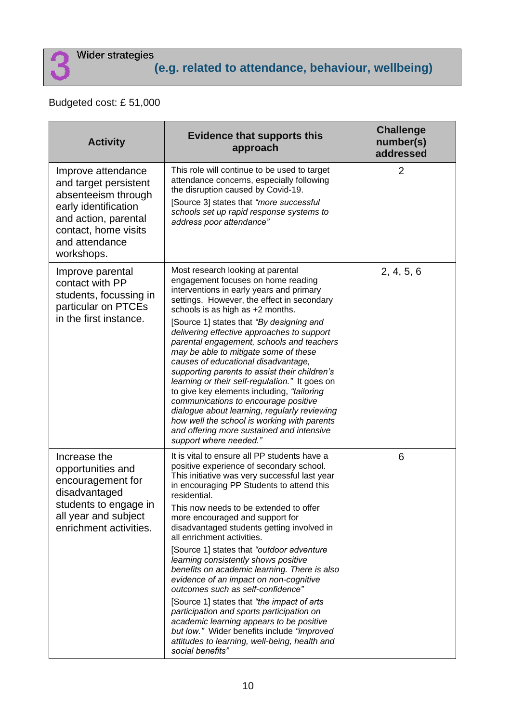#### Budgeted cost: £ 51,000

| <b>Activity</b>                                                                                                                                                            | <b>Evidence that supports this</b><br>approach                                                                                                                                                                                                                                                                                                                                                                                                                                                                                                                                                                                                                                                                                                                                                                                                 | <b>Challenge</b><br>number(s)<br>addressed |
|----------------------------------------------------------------------------------------------------------------------------------------------------------------------------|------------------------------------------------------------------------------------------------------------------------------------------------------------------------------------------------------------------------------------------------------------------------------------------------------------------------------------------------------------------------------------------------------------------------------------------------------------------------------------------------------------------------------------------------------------------------------------------------------------------------------------------------------------------------------------------------------------------------------------------------------------------------------------------------------------------------------------------------|--------------------------------------------|
| Improve attendance<br>and target persistent<br>absenteeism through<br>early identification<br>and action, parental<br>contact, home visits<br>and attendance<br>workshops. | This role will continue to be used to target<br>attendance concerns, especially following<br>the disruption caused by Covid-19.<br>[Source 3] states that "more successful<br>schools set up rapid response systems to<br>address poor attendance"                                                                                                                                                                                                                                                                                                                                                                                                                                                                                                                                                                                             | $\overline{2}$                             |
| Improve parental<br>contact with PP<br>students, focussing in<br>particular on PTCEs<br>in the first instance.                                                             | Most research looking at parental<br>engagement focuses on home reading<br>interventions in early years and primary<br>settings. However, the effect in secondary<br>schools is as high as +2 months.<br>[Source 1] states that "By designing and<br>delivering effective approaches to support<br>parental engagement, schools and teachers<br>may be able to mitigate some of these<br>causes of educational disadvantage,<br>supporting parents to assist their children's<br>learning or their self-regulation." It goes on<br>to give key elements including, "tailoring<br>communications to encourage positive<br>dialogue about learning, regularly reviewing<br>how well the school is working with parents<br>and offering more sustained and intensive<br>support where needed."                                                    | 2, 4, 5, 6                                 |
| Increase the<br>opportunities and<br>encouragement for<br>disadvantaged<br>students to engage in<br>all year and subject<br>enrichment activities.                         | It is vital to ensure all PP students have a<br>positive experience of secondary school.<br>This initiative was very successful last year<br>in encouraging PP Students to attend this<br>residential.<br>This now needs to be extended to offer<br>more encouraged and support for<br>disadvantaged students getting involved in<br>all enrichment activities.<br>[Source 1] states that "outdoor adventure"<br>learning consistently shows positive<br>benefits on academic learning. There is also<br>evidence of an impact on non-cognitive<br>outcomes such as self-confidence"<br>[Source 1] states that "the impact of arts<br>participation and sports participation on<br>academic learning appears to be positive<br>but low." Wider benefits include "improved<br>attitudes to learning, well-being, health and<br>social benefits" | 6                                          |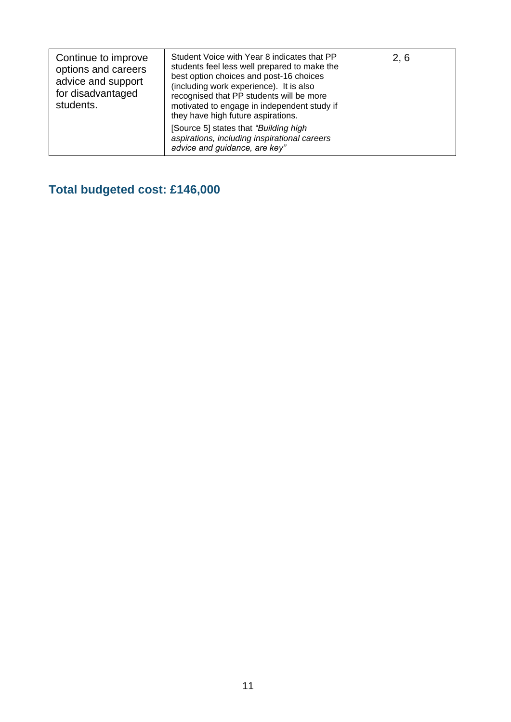| Continue to improve<br>options and careers<br>advice and support<br>for disadvantaged<br>students. | Student Voice with Year 8 indicates that PP<br>students feel less well prepared to make the<br>best option choices and post-16 choices<br>(including work experience). It is also<br>recognised that PP students will be more<br>motivated to engage in independent study if<br>they have high future aspirations.<br>[Source 5] states that "Building high<br>aspirations, including inspirational careers | 2, 6 |
|----------------------------------------------------------------------------------------------------|-------------------------------------------------------------------------------------------------------------------------------------------------------------------------------------------------------------------------------------------------------------------------------------------------------------------------------------------------------------------------------------------------------------|------|
|                                                                                                    | advice and guidance, are key"                                                                                                                                                                                                                                                                                                                                                                               |      |

**Total budgeted cost: £146,000**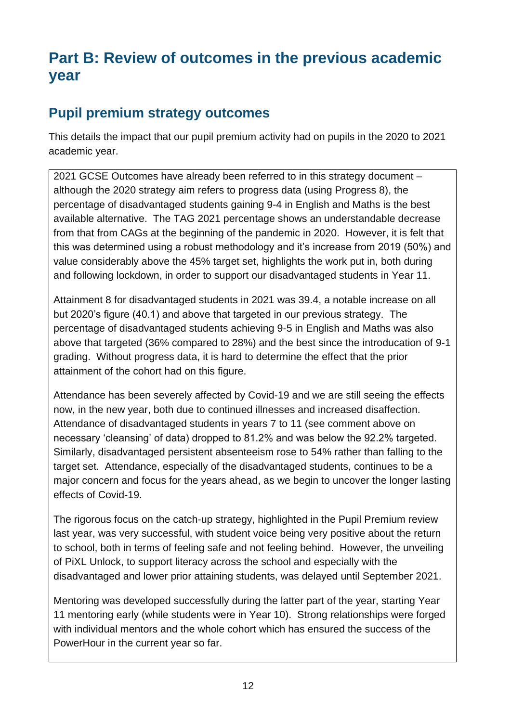# **Part B: Review of outcomes in the previous academic year**

#### **Pupil premium strategy outcomes**

This details the impact that our pupil premium activity had on pupils in the 2020 to 2021 academic year.

2021 GCSE Outcomes have already been referred to in this strategy document – although the 2020 strategy aim refers to progress data (using Progress 8), the percentage of disadvantaged students gaining 9-4 in English and Maths is the best available alternative. The TAG 2021 percentage shows an understandable decrease from that from CAGs at the beginning of the pandemic in 2020. However, it is felt that this was determined using a robust methodology and it's increase from 2019 (50%) and value considerably above the 45% target set, highlights the work put in, both during and following lockdown, in order to support our disadvantaged students in Year 11.

Attainment 8 for disadvantaged students in 2021 was 39.4, a notable increase on all but 2020's figure (40.1) and above that targeted in our previous strategy. The percentage of disadvantaged students achieving 9-5 in English and Maths was also above that targeted (36% compared to 28%) and the best since the introducation of 9-1 grading. Without progress data, it is hard to determine the effect that the prior attainment of the cohort had on this figure.

Attendance has been severely affected by Covid-19 and we are still seeing the effects now, in the new year, both due to continued illnesses and increased disaffection. Attendance of disadvantaged students in years 7 to 11 (see comment above on necessary 'cleansing' of data) dropped to 81.2% and was below the 92.2% targeted. Similarly, disadvantaged persistent absenteeism rose to 54% rather than falling to the target set. Attendance, especially of the disadvantaged students, continues to be a major concern and focus for the years ahead, as we begin to uncover the longer lasting effects of Covid-19.

The rigorous focus on the catch-up strategy, highlighted in the Pupil Premium review last year, was very successful, with student voice being very positive about the return to school, both in terms of feeling safe and not feeling behind. However, the unveiling of PiXL Unlock, to support literacy across the school and especially with the disadvantaged and lower prior attaining students, was delayed until September 2021.

Mentoring was developed successfully during the latter part of the year, starting Year 11 mentoring early (while students were in Year 10). Strong relationships were forged with individual mentors and the whole cohort which has ensured the success of the PowerHour in the current year so far.